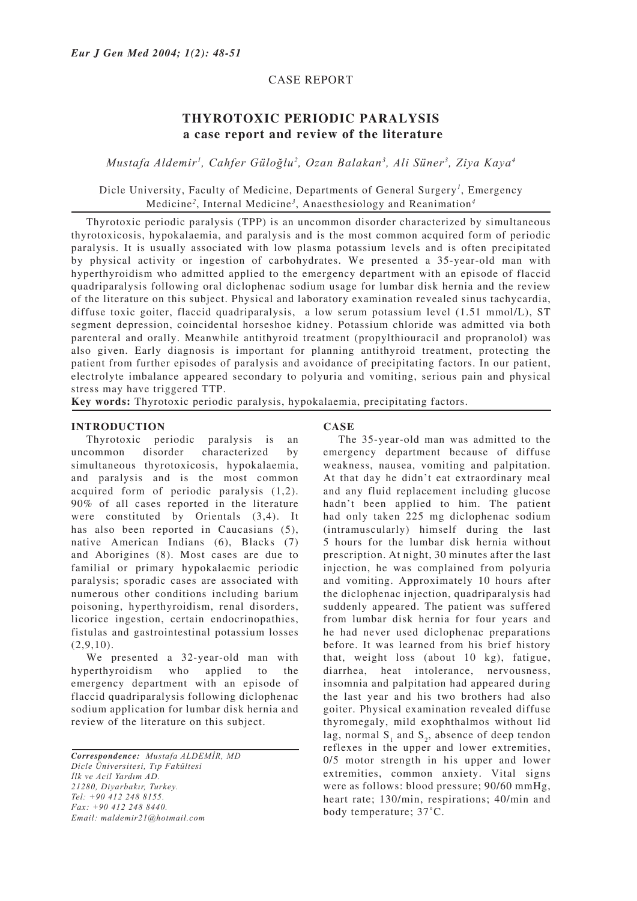### CASE REPORT

# **THYROTOXIC PERIODIC PARALYSIS a case report and review of the literature**

*Mustafa Aldemir1 , Cahfer Güloğlu2 , Ozan Balakan3 , Ali Süner3 , Ziya Kaya4*

## Dicle University, Faculty of Medicine, Departments of General Surgery*<sup>1</sup>* , Emergency Medicine*<sup>2</sup>* , Internal Medicine*<sup>3</sup>* , Anaesthesiology and Reanimation*<sup>4</sup>*

Thyrotoxic periodic paralysis (TPP) is an uncommon disorder characterized by simultaneous thyrotoxicosis, hypokalaemia, and paralysis and is the most common acquired form of periodic paralysis. It is usually associated with low plasma potassium levels and is often precipitated by physical activity or ingestion of carbohydrates. We presented a 35-year-old man with hyperthyroidism who admitted applied to the emergency department with an episode of flaccid quadriparalysis following oral diclophenac sodium usage for lumbar disk hernia and the review of the literature on this subject. Physical and laboratory examination revealed sinus tachycardia, diffuse toxic goiter, flaccid quadriparalysis, a low serum potassium level (1.51 mmol/L), ST segment depression, coincidental horseshoe kidney. Potassium chloride was admitted via both parenteral and orally. Meanwhile antithyroid treatment (propylthiouracil and propranolol) was also given. Early diagnosis is important for planning antithyroid treatment, protecting the patient from further episodes of paralysis and avoidance of precipitating factors. In our patient, electrolyte imbalance appeared secondary to polyuria and vomiting, serious pain and physical stress may have triggered TTP.

**Key words:** Thyrotoxic periodic paralysis, hypokalaemia, precipitating factors.

### **INTRODUCTION**

Thyrotoxic periodic paralysis is an uncommon disorder characterized by simultaneous thyrotoxicosis, hypokalaemia, and paralysis and is the most common acquired form of periodic paralysis (1,2). 90% of all cases reported in the literature were constituted by Orientals (3,4). It has also been reported in Caucasians (5), native American Indians (6), Blacks (7) and Aborigines (8). Most cases are due to familial or primary hypokalaemic periodic paralysis; sporadic cases are associated with numerous other conditions including barium poisoning, hyperthyroidism, renal disorders, licorice ingestion, certain endocrinopathies, fistulas and gastrointestinal potassium losses  $(2,9,10)$ .

We presented a 32-year-old man with hyperthyroidism who applied to the emergency department with an episode of flaccid quadriparalysis following diclophenac sodium application for lumbar disk hernia and review of the literature on this subject.

*Correspondence: Mustafa ALDEMİR, MD Dicle Üniversitesi, Tıp Fakültesi İlk ve Acil Yardım AD. 21280, Diyarbakır, Turkey. Tel: +90 412 248 8155. Fax: +90 412 248 8440. Email: maldemir21@hotmail.com*

#### **CASE**

The 35-year-old man was admitted to the emergency department because of diffuse weakness, nausea, vomiting and palpitation. At that day he didn't eat extraordinary meal and any fluid replacement including glucose hadn't been applied to him. The patient had only taken 225 mg diclophenac sodium (intramuscularly) himself during the last 5 hours for the lumbar disk hernia without prescription. At night, 30 minutes after the last injection, he was complained from polyuria and vomiting. Approximately 10 hours after the diclophenac injection, quadriparalysis had suddenly appeared. The patient was suffered from lumbar disk hernia for four years and he had never used diclophenac preparations before. It was learned from his brief history that, weight loss (about 10 kg), fatigue, diarrhea, heat intolerance, nervousness, insomnia and palpitation had appeared during the last year and his two brothers had also goiter. Physical examination revealed diffuse thyromegaly, mild exophthalmos without lid lag, normal  $S_1$  and  $S_2$ , absence of deep tendon reflexes in the upper and lower extremities, 0/5 motor strength in his upper and lower extremities, common anxiety. Vital signs were as follows: blood pressure; 90/60 mmHg, heart rate; 130/min, respirations; 40/min and body temperature; 37˚C.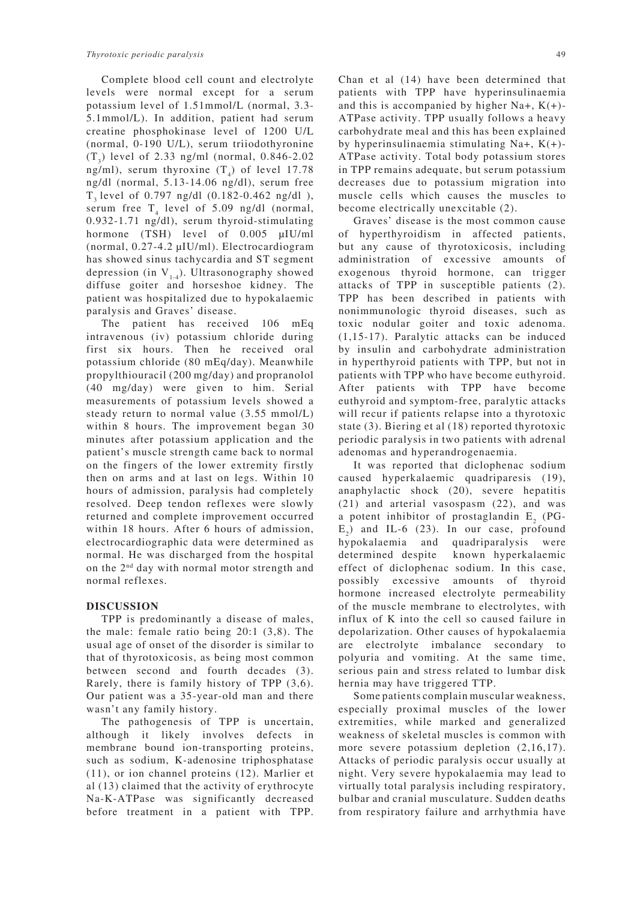Complete blood cell count and electrolyte levels were normal except for a serum potassium level of 1.51mmol/L (normal, 3.3- 5.1mmol/L). In addition, patient had serum creatine phosphokinase level of 1200 U/L (normal, 0-190 U/L), serum triiodothyronine  $(T_3)$  level of 2.33 ng/ml (normal, 0.846-2.02) ng/ml), serum thyroxine  $(T_4)$  of level 17.78 ng/dl (normal, 5.13-14.06 ng/dl), serum free T3 level of 0.797 ng/dl (0.182-0.462 ng/dl ), serum free  $T_4$  level of 5.09 ng/dl (normal, 0.932-1.71 ng/dl), serum thyroid-stimulating hormone (TSH) level of 0.005 µIU/ml (normal, 0.27-4.2 µIU/ml). Electrocardiogram has showed sinus tachycardia and ST segment depression (in  $V_{1-4}$ ). Ultrasonography showed diffuse goiter and horseshoe kidney. The patient was hospitalized due to hypokalaemic paralysis and Graves' disease.

The patient has received 106 mEq intravenous (iv) potassium chloride during first six hours. Then he received oral potassium chloride (80 mEq/day). Meanwhile propylthiouracil (200 mg/day) and propranolol (40 mg/day) were given to him. Serial measurements of potassium levels showed a steady return to normal value (3.55 mmol/L) within 8 hours. The improvement began 30 minutes after potassium application and the patient's muscle strength came back to normal on the fingers of the lower extremity firstly then on arms and at last on legs. Within 10 hours of admission, paralysis had completely resolved. Deep tendon reflexes were slowly returned and complete improvement occurred within 18 hours. After 6 hours of admission, electrocardiographic data were determined as normal. He was discharged from the hospital on the 2nd day with normal motor strength and normal reflexes.

#### **DISCUSSION**

TPP is predominantly a disease of males, the male: female ratio being 20:1 (3,8). The usual age of onset of the disorder is similar to that of thyrotoxicosis, as being most common between second and fourth decades (3). Rarely, there is family history of TPP (3,6). Our patient was a 35-year-old man and there wasn't any family history.

The pathogenesis of TPP is uncertain, although it likely involves defects in membrane bound ion-transporting proteins, such as sodium, K-adenosine triphosphatase (11), or ion channel proteins (12). Marlier et al (13) claimed that the activity of erythrocyte Na-K-ATPase was significantly decreased before treatment in a patient with TPP. Chan et al (14) have been determined that patients with TPP have hyperinsulinaemia and this is accompanied by higher Na+,  $K(+)$ -ATPase activity. TPP usually follows a heavy carbohydrate meal and this has been explained by hyperinsulinaemia stimulating Na+, K(+)- ATPase activity. Total body potassium stores in TPP remains adequate, but serum potassium decreases due to potassium migration into muscle cells which causes the muscles to become electrically unexcitable (2).

Graves' disease is the most common cause of hyperthyroidism in affected patients, but any cause of thyrotoxicosis, including administration of excessive amounts of exogenous thyroid hormone, can trigger attacks of TPP in susceptible patients (2). TPP has been described in patients with nonimmunologic thyroid diseases, such as toxic nodular goiter and toxic adenoma. (1,15-17). Paralytic attacks can be induced by insulin and carbohydrate administration in hyperthyroid patients with TPP, but not in patients with TPP who have become euthyroid. After patients with TPP have become euthyroid and symptom-free, paralytic attacks will recur if patients relapse into a thyrotoxic state (3). Biering et al (18) reported thyrotoxic periodic paralysis in two patients with adrenal adenomas and hyperandrogenaemia.

It was reported that diclophenac sodium caused hyperkalaemic quadriparesis (19), anaphylactic shock (20), severe hepatitis (21) and arterial vasospasm (22), and was a potent inhibitor of prostaglandin  $E<sub>2</sub>$  (PG- $E_2$ ) and IL-6 (23). In our case, profound hypokalaemia and quadriparalysis were determined despite known hyperkalaemic effect of diclophenac sodium. In this case, possibly excessive amounts of thyroid hormone increased electrolyte permeability of the muscle membrane to electrolytes, with influx of K into the cell so caused failure in depolarization. Other causes of hypokalaemia are electrolyte imbalance secondary to polyuria and vomiting. At the same time, serious pain and stress related to lumbar disk hernia may have triggered TTP.

Some patients complain muscular weakness, especially proximal muscles of the lower extremities, while marked and generalized weakness of skeletal muscles is common with more severe potassium depletion  $(2,16,17)$ . Attacks of periodic paralysis occur usually at night. Very severe hypokalaemia may lead to virtually total paralysis including respiratory, bulbar and cranial musculature. Sudden deaths from respiratory failure and arrhythmia have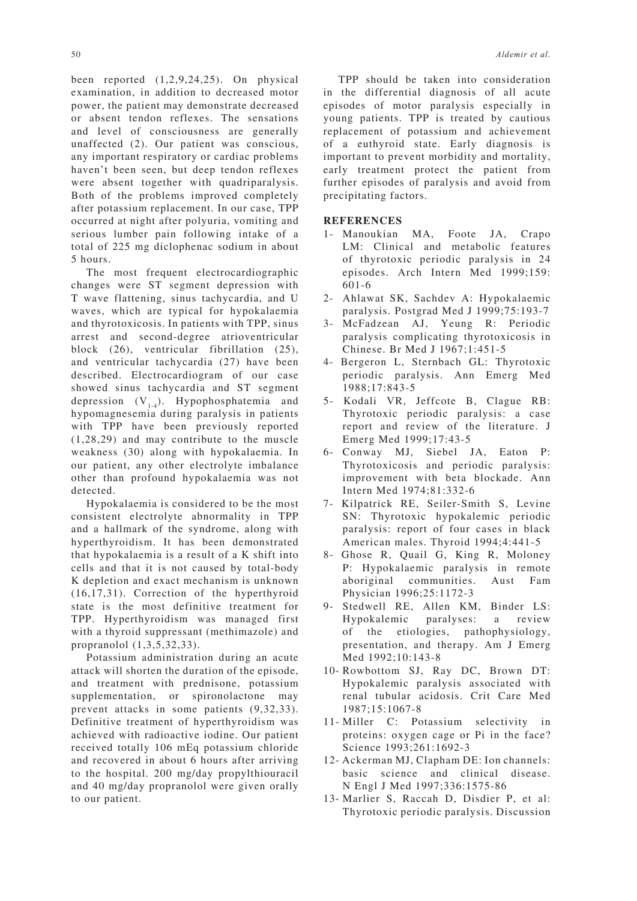been reported (1,2,9,24,25). On physical examination, in addition to decreased motor power, the patient may demonstrate decreased or absent tendon reflexes. The sensations and level of consciousness are generally unaffected (2). Our patient was conscious, any important respiratory or cardiac problems haven't been seen, but deep tendon reflexes were absent together with quadriparalysis. Both of the problems improved completely after potassium replacement. In our case, TPP occurred at night after polyuria, vomiting and serious lumber pain following intake of a total of 225 mg diclophenac sodium in about 5 hours.

The most frequent electrocardiographic changes were ST segment depression with T wave flattening, sinus tachycardia, and U waves, which are typical for hypokalaemia and thyrotoxicosis. In patients with TPP, sinus arrest and second-degree atrioventricular block (26), ventricular fibrillation (25), and ventricular tachycardia (27) have been described. Electrocardiogram of our case showed sinus tachycardia and ST segment depression  $(V_{14})$ . Hypophosphatemia and hypomagnesemia during paralysis in patients with TPP have been previously reported (1,28,29) and may contribute to the muscle weakness (30) along with hypokalaemia. In our patient, any other electrolyte imbalance other than profound hypokalaemia was not detected.

Hypokalaemia is considered to be the most consistent electrolyte abnormality in TPP and a hallmark of the syndrome, along with hyperthyroidism. It has been demonstrated that hypokalaemia is a result of a K shift into cells and that it is not caused by total-body K depletion and exact mechanism is unknown (16,17,31). Correction of the hyperthyroid state is the most definitive treatment for TPP. Hyperthyroidism was managed first with a thyroid suppressant (methimazole) and propranolol (1,3,5,32,33).

Potassium administration during an acute attack will shorten the duration of the episode, and treatment with prednisone, potassium supplementation, or spironolactone may prevent attacks in some patients (9,32,33). Definitive treatment of hyperthyroidism was achieved with radioactive iodine. Our patient received totally 106 mEq potassium chloride and recovered in about 6 hours after arriving to the hospital. 200 mg/day propylthiouracil and 40 mg/day propranolol were given orally to our patient.

TPP should be taken into consideration in the differential diagnosis of all acute episodes of motor paralysis especially in young patients. TPP is treated by cautious replacement of potassium and achievement of a euthyroid state. Early diagnosis is important to prevent morbidity and mortality, early treatment protect the patient from further episodes of paralysis and avoid from precipitating factors.

#### **REFERENCES**

- 1- Manoukian MA, Foote JA, Crapo LM: Clinical and metabolic features of thyrotoxic periodic paralysis in 24 episodes. Arch Intern Med 1999;159: 601-6
- 2- Ahlawat SK, Sachdev A: Hypokalaemic paralysis. Postgrad Med J 1999;75:193-7
- 3- McFadzean AJ, Yeung R: Periodic paralysis complicating thyrotoxicosis in Chinese. Br Med J 1967;1:451-5
- 4- Bergeron L, Sternbach GL: Thyrotoxic periodic paralysis. Ann Emerg Med 1988;17:843-5
- 5- Kodali VR, Jeffcote B, Clague RB: Thyrotoxic periodic paralysis: a case report and review of the literature. J Emerg Med 1999;17:43-5
- 6- Conway MJ, Siebel JA, Eaton P: Thyrotoxicosis and periodic paralysis: improvement with beta blockade. Ann Intern Med 1974;81:332-6
- 7- Kilpatrick RE, Seiler-Smith S, Levine SN: Thyrotoxic hypokalemic periodic paralysis: report of four cases in black American males. Thyroid 1994;4:441-5
- 8- Ghose R, Quail G, King R, Moloney P: Hypokalaemic paralysis in remote aboriginal communities. Aust Fam Physician 1996;25:1172-3
- 9- Stedwell RE, Allen KM, Binder LS: Hypokalemic paralyses: a review of the etiologies, pathophysiology, presentation, and therapy. Am J Emerg Med 1992;10:143-8
- 10- Rowbottom SJ, Ray DC, Brown DT: Hypokalemic paralysis associated with renal tubular acidosis. Crit Care Med 1987;15:1067-8
- 11- Miller C: Potassium selectivity in proteins: oxygen cage or Pi in the face? Science 1993;261:1692-3
- 12- Ackerman MJ, Clapham DE: Ion channels: basic science and clinical disease. N Engl J Med 1997;336:1575-86
- 13- Marlier S, Raccah D, Disdier P, et al: Thyrotoxic periodic paralysis. Discussion